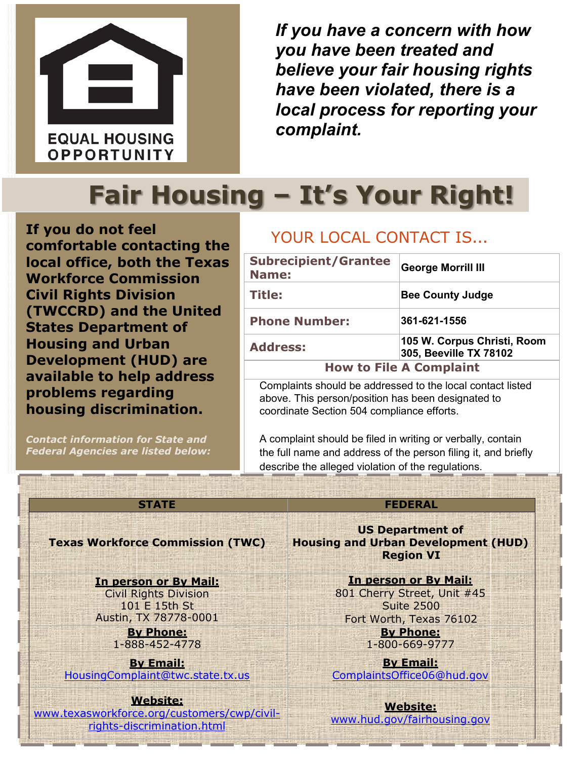

*If you have a concern with how you have been treated and believe your fair housing rights have been violated, there is a local process for reporting your complaint.*

# **Fair Housing – It's Your Right!**

**If you do not feel comfortable contacting the local office, both the Texas Workforce Commission Civil Rights Division (TWCCRD) and the United States Department of Housing and Urban Development (HUD) are available to help address problems regarding housing discrimination.**

*Contact information for State and Federal Agencies are listed below:*

### YOUR LOCAL CONTACT IS…

| <b>Subrecipient/Grantee</b><br>Name: | <b>George Morrill III</b>                             |  |
|--------------------------------------|-------------------------------------------------------|--|
| Title:                               | <b>Bee County Judge</b>                               |  |
| <b>Phone Number:</b>                 | 361-621-1556                                          |  |
| <b>Address:</b>                      | 105 W. Corpus Christi, Room<br>305, Beeville TX 78102 |  |
| <b>How to File A Complaint</b>       |                                                       |  |

Complaints should be addressed to the local contact listed above. This person/position has been designated to coordinate Section 504 compliance efforts.

A complaint should be filed in writing or verbally, contain the full name and address of the person filing it, and briefly describe the alleged violation of the regulations.

#### **Texas Workforce Commission (TWC)**

**In person or By Mail:**

Civil Rights Division 101 E 15th St Austin, TX 78778-0001

> **By Phone:** 1-888-452-4778

**By Email:** [HousingComplaint@twc.state.tx.us](mailto:HousingComplaint@twc.state.tx.us)

#### **Website:**

[www.texasworkforce.org/customers/cwp/civil](http://www.texasworkforce.org/customers/cwp/civil-rights-discrimination.html)[rights-discrimination.html](http://www.texasworkforce.org/customers/cwp/civil-rights-discrimination.html)

#### **STATE FEDERAL**

**US Department of Housing and Urban Development (HUD) Region VI**

**In person or By Mail:**

801 Cherry Street, Unit #45 Suite 2500 Fort Worth, Texas 76102 **By Phone:**

1-800-669-9777

**By Email:** [ComplaintsOffice06@hud.gov](mailto:ComplaintsOffice06@hud.gov)

**Website:** [www.hud.gov/fairhousing.gov](http://www.hud.gov/fairhousing.gov)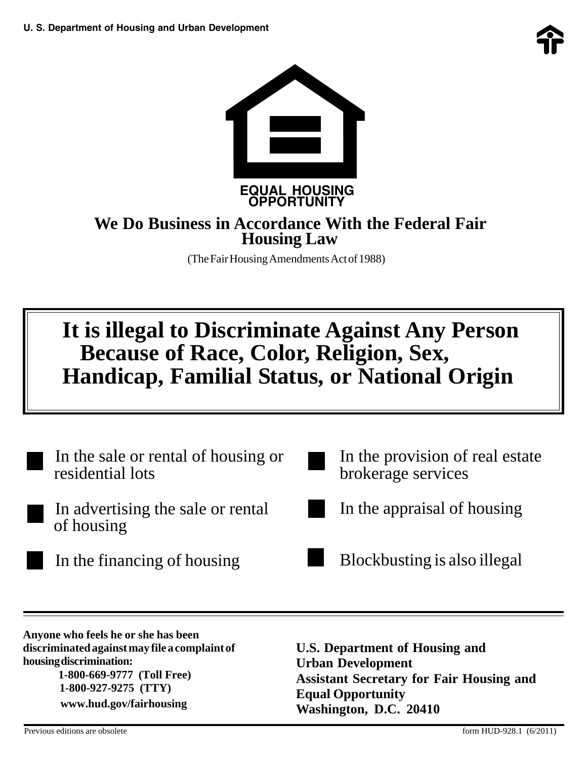

### **We Do Business in Accordance With the Federal Fair Housing Law**

 **OPPORTUNITY**

(The Fair Housing Amendments Act of 1988)

## **It is illegal to Discriminate Against Any Person Because of Race, Color, Religion, Sex, Handicap, Familial Status, or National Origin**

In the sale or rental of housing or residential lots In advertising the sale or rental of housing In the financing of housing In the provision of real estate brokerage services In the appraisal of housing Blockbusting is also illegal

**Anyone who feels he or she has been discriminated against may file a complaint of housing discrimination: 1-800-669-9777 (Toll Free) 1-800-927-9275 (TTY) www.hud.gov/fairhousing**

**U.S. Department of Housing and Urban Development Assistant Secretary for Fair Housing and Equal Opportunity Washington, D.C. 20410**